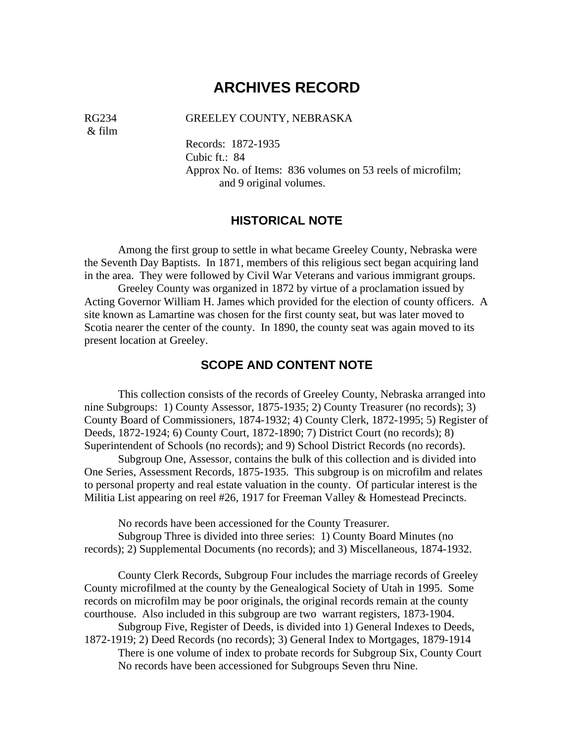# **ARCHIVES RECORD**

 $\&$  film

RG234 GREELEY COUNTY, NEBRASKA

 Records: 1872-1935 Cubic ft.: 84 Approx No. of Items: 836 volumes on 53 reels of microfilm; and 9 original volumes.

#### **HISTORICAL NOTE**

 Among the first group to settle in what became Greeley County, Nebraska were the Seventh Day Baptists. In 1871, members of this religious sect began acquiring land in the area. They were followed by Civil War Veterans and various immigrant groups.

 Greeley County was organized in 1872 by virtue of a proclamation issued by Acting Governor William H. James which provided for the election of county officers. A site known as Lamartine was chosen for the first county seat, but was later moved to Scotia nearer the center of the county. In 1890, the county seat was again moved to its present location at Greeley.

#### **SCOPE AND CONTENT NOTE**

 This collection consists of the records of Greeley County, Nebraska arranged into nine Subgroups: 1) County Assessor, 1875-1935; 2) County Treasurer (no records); 3) County Board of Commissioners, 1874-1932; 4) County Clerk, 1872-1995; 5) Register of Deeds, 1872-1924; 6) County Court, 1872-1890; 7) District Court (no records); 8) Superintendent of Schools (no records); and 9) School District Records (no records).

 Subgroup One, Assessor, contains the bulk of this collection and is divided into One Series, Assessment Records, 1875-1935. This subgroup is on microfilm and relates to personal property and real estate valuation in the county. Of particular interest is the Militia List appearing on reel #26, 1917 for Freeman Valley & Homestead Precincts.

No records have been accessioned for the County Treasurer.

 Subgroup Three is divided into three series: 1) County Board Minutes (no records); 2) Supplemental Documents (no records); and 3) Miscellaneous, 1874-1932.

 County Clerk Records, Subgroup Four includes the marriage records of Greeley County microfilmed at the county by the Genealogical Society of Utah in 1995. Some records on microfilm may be poor originals, the original records remain at the county courthouse. Also included in this subgroup are two warrant registers, 1873-1904.

 Subgroup Five, Register of Deeds, is divided into 1) General Indexes to Deeds, 1872-1919; 2) Deed Records (no records); 3) General Index to Mortgages, 1879-1914 There is one volume of index to probate records for Subgroup Six, County Court No records have been accessioned for Subgroups Seven thru Nine.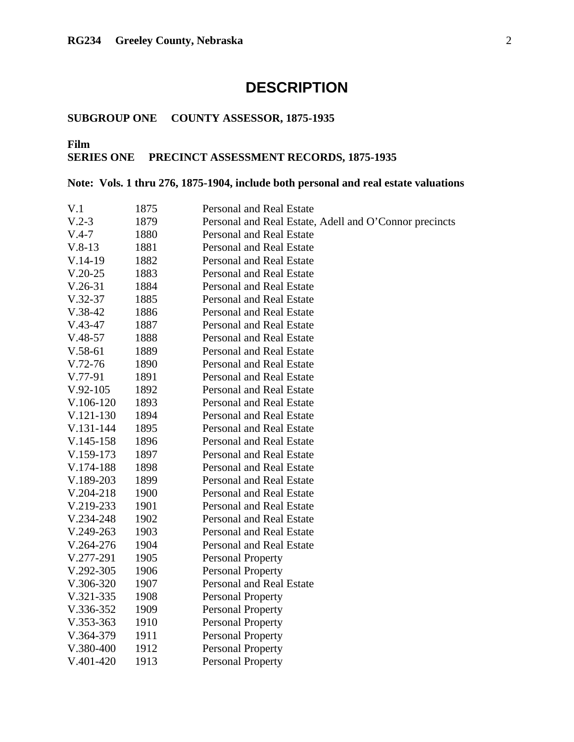# **DESCRIPTION**

### **SUBGROUP ONE COUNTY ASSESSOR, 1875-1935**

#### **Film SERIES ONE PRECINCT ASSESSMENT RECORDS, 1875-1935**

### **Note: Vols. 1 thru 276, 1875-1904, include both personal and real estate valuations**

| V.1         | 1875 | <b>Personal and Real Estate</b>                        |
|-------------|------|--------------------------------------------------------|
| $V.2-3$     | 1879 | Personal and Real Estate, Adell and O'Connor precincts |
| $V.4-7$     | 1880 | <b>Personal and Real Estate</b>                        |
| $V.8-13$    | 1881 | <b>Personal and Real Estate</b>                        |
| $V.14-19$   | 1882 | <b>Personal and Real Estate</b>                        |
| $V.20-25$   | 1883 | <b>Personal and Real Estate</b>                        |
| $V.26-31$   | 1884 | <b>Personal and Real Estate</b>                        |
| $V.32-37$   | 1885 | <b>Personal and Real Estate</b>                        |
| $V.38-42$   | 1886 | <b>Personal and Real Estate</b>                        |
| $V.43-47$   | 1887 | <b>Personal and Real Estate</b>                        |
| $V.48-57$   | 1888 | <b>Personal and Real Estate</b>                        |
| $V.58-61$   | 1889 | <b>Personal and Real Estate</b>                        |
| $V.72-76$   | 1890 | <b>Personal and Real Estate</b>                        |
| V.77-91     | 1891 | <b>Personal and Real Estate</b>                        |
| $V.92-105$  | 1892 | Personal and Real Estate                               |
| V.106-120   | 1893 | <b>Personal and Real Estate</b>                        |
| $V.121-130$ | 1894 | <b>Personal and Real Estate</b>                        |
| V.131-144   | 1895 | <b>Personal and Real Estate</b>                        |
| $V.145-158$ | 1896 | <b>Personal and Real Estate</b>                        |
| V.159-173   | 1897 | <b>Personal and Real Estate</b>                        |
| V.174-188   | 1898 | <b>Personal and Real Estate</b>                        |
| V.189-203   | 1899 | <b>Personal and Real Estate</b>                        |
| $V.204-218$ | 1900 | <b>Personal and Real Estate</b>                        |
| V.219-233   | 1901 | Personal and Real Estate                               |
| V.234-248   | 1902 | <b>Personal and Real Estate</b>                        |
| V.249-263   | 1903 | Personal and Real Estate                               |
| V.264-276   | 1904 | <b>Personal and Real Estate</b>                        |
| V.277-291   | 1905 | <b>Personal Property</b>                               |
| V.292-305   | 1906 | <b>Personal Property</b>                               |
| V.306-320   | 1907 | Personal and Real Estate                               |
| V.321-335   | 1908 | <b>Personal Property</b>                               |
| V.336-352   | 1909 | <b>Personal Property</b>                               |
| V.353-363   | 1910 | <b>Personal Property</b>                               |
| V.364-379   | 1911 | <b>Personal Property</b>                               |
| V.380-400   | 1912 | <b>Personal Property</b>                               |
| V.401-420   | 1913 | <b>Personal Property</b>                               |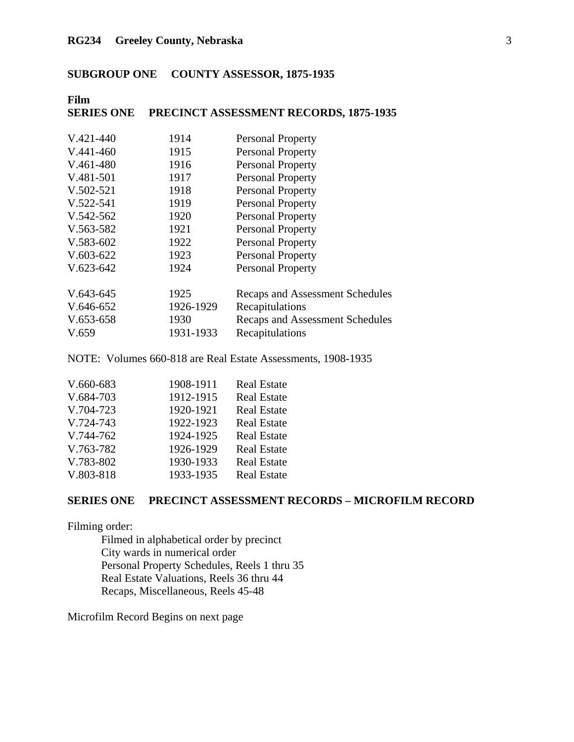| <b>Film</b><br><b>SERIES ONE</b> |           | PRECINCT ASSESSMENT RECORDS, 1875-1935 |
|----------------------------------|-----------|----------------------------------------|
| $V.421 - 440$                    | 1914      | <b>Personal Property</b>               |
| $V.441 - 460$                    | 1915      | <b>Personal Property</b>               |
| $V.461-480$                      | 1916      | <b>Personal Property</b>               |
| V.481-501                        | 1917      | <b>Personal Property</b>               |
| V.502-521                        | 1918      | <b>Personal Property</b>               |
| V.522-541                        | 1919      | <b>Personal Property</b>               |
| $V.542 - 562$                    | 1920      | <b>Personal Property</b>               |
| V.563-582                        | 1921      | <b>Personal Property</b>               |
| V.583-602                        | 1922      | <b>Personal Property</b>               |
| $V.603-622$                      | 1923      | <b>Personal Property</b>               |
| $V.623-642$                      | 1924      | <b>Personal Property</b>               |
| $V.643-645$                      | 1925      | Recaps and Assessment Schedules        |
| $V.646-652$                      | 1926-1929 | Recapitulations                        |
| $V.653-658$                      | 1930      | <b>Recaps and Assessment Schedules</b> |
| V.659                            | 1931-1933 | Recapitulations                        |

NOTE: Volumes 660-818 are Real Estate Assessments, 1908-1935

| $V.660-683$ | 1908-1911 | <b>Real Estate</b> |
|-------------|-----------|--------------------|
| V.684-703   | 1912-1915 | <b>Real Estate</b> |
| V.704-723   | 1920-1921 | <b>Real Estate</b> |
| V.724-743   | 1922-1923 | <b>Real Estate</b> |
| V.744-762   | 1924-1925 | <b>Real Estate</b> |
| V.763-782   | 1926-1929 | <b>Real Estate</b> |
| V.783-802   | 1930-1933 | <b>Real Estate</b> |
| V.803-818   | 1933-1935 | <b>Real Estate</b> |

#### **SERIES ONE PRECINCT ASSESSMENT RECORDS – MICROFILM RECORD**

Filming order:

 Filmed in alphabetical order by precinct City wards in numerical order Personal Property Schedules, Reels 1 thru 35 Real Estate Valuations, Reels 36 thru 44 Recaps, Miscellaneous, Reels 45-48

Microfilm Record Begins on next page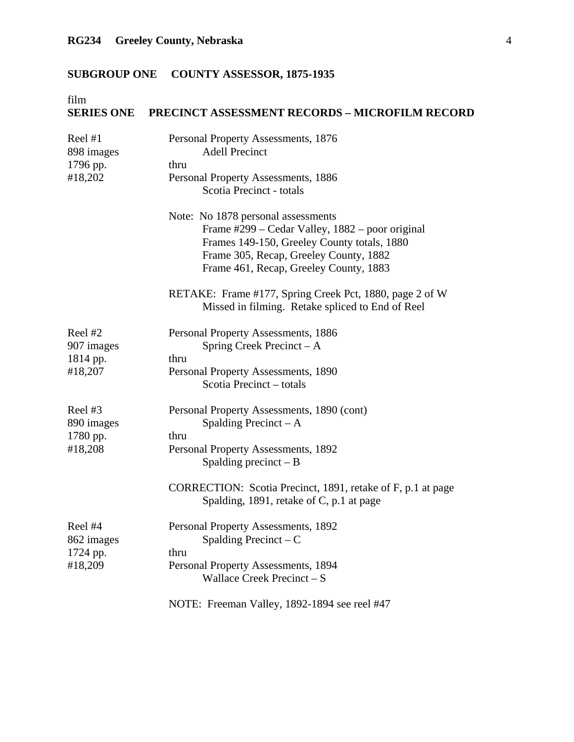# film

| Reel #1<br>898 images<br>1796 pp.<br>#18,202 | Personal Property Assessments, 1876<br><b>Adell Precinct</b><br>thru<br>Personal Property Assessments, 1886<br>Scotia Precinct - totals                                                                                                                    |
|----------------------------------------------|------------------------------------------------------------------------------------------------------------------------------------------------------------------------------------------------------------------------------------------------------------|
|                                              | Note: No 1878 personal assessments<br>Frame #299 – Cedar Valley, 1882 – poor original<br>Frames 149-150, Greeley County totals, 1880<br>Frame 305, Recap, Greeley County, 1882<br>Frame 461, Recap, Greeley County, 1883                                   |
|                                              | RETAKE: Frame #177, Spring Creek Pct, 1880, page 2 of W<br>Missed in filming. Retake spliced to End of Reel                                                                                                                                                |
| Reel #2<br>907 images<br>1814 pp.<br>#18,207 | Personal Property Assessments, 1886<br>Spring Creek Precinct – A<br>thru<br>Personal Property Assessments, 1890<br>Scotia Precinct - totals                                                                                                                |
| Reel #3<br>890 images<br>1780 pp.<br>#18,208 | Personal Property Assessments, 1890 (cont)<br>Spalding Precinct $- A$<br>thru<br>Personal Property Assessments, 1892<br>Spalding precinct $- B$<br>CORRECTION: Scotia Precinct, 1891, retake of F, p.1 at page<br>Spalding, 1891, retake of C, p.1 at page |
| Reel #4<br>862 images<br>1724 pp.<br>#18,209 | Personal Property Assessments, 1892<br>Spalding Precinct $-C$<br>thru<br>Personal Property Assessments, 1894<br>Wallace Creek Precinct - S<br>NOTE: Freeman Valley, 1892-1894 see reel #47                                                                 |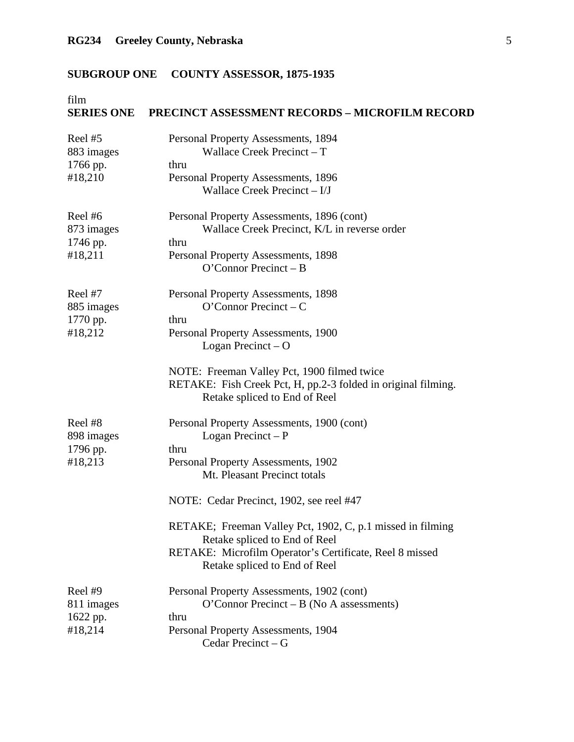film

| Reel #5<br>883 images<br>1766 pp.<br>#18,210 | Personal Property Assessments, 1894<br>Wallace Creek Precinct - T<br>thru<br>Personal Property Assessments, 1896                                                                                                                                                                                                                                                                                                        |
|----------------------------------------------|-------------------------------------------------------------------------------------------------------------------------------------------------------------------------------------------------------------------------------------------------------------------------------------------------------------------------------------------------------------------------------------------------------------------------|
|                                              | Wallace Creek Precinct - I/J                                                                                                                                                                                                                                                                                                                                                                                            |
| Reel #6<br>873 images<br>1746 pp.<br>#18,211 | Personal Property Assessments, 1896 (cont)<br>Wallace Creek Precinct, K/L in reverse order<br>thru<br>Personal Property Assessments, 1898<br>$O'$ Connor Precinct – B                                                                                                                                                                                                                                                   |
| Reel #7<br>885 images<br>1770 pp.<br>#18,212 | Personal Property Assessments, 1898<br>$O'$ Connor Precinct – C<br>thru<br>Personal Property Assessments, 1900<br>Logan Precinct $-$ O<br>NOTE: Freeman Valley Pct, 1900 filmed twice<br>RETAKE: Fish Creek Pct, H, pp.2-3 folded in original filming.                                                                                                                                                                  |
| Reel #8<br>898 images<br>1796 pp.<br>#18,213 | Retake spliced to End of Reel<br>Personal Property Assessments, 1900 (cont)<br>Logan Precinct - P<br>thru<br>Personal Property Assessments, 1902<br>Mt. Pleasant Precinct totals<br>NOTE: Cedar Precinct, 1902, see reel #47<br>RETAKE; Freeman Valley Pct, 1902, C, p.1 missed in filming<br>Retake spliced to End of Reel<br>RETAKE: Microfilm Operator's Certificate, Reel 8 missed<br>Retake spliced to End of Reel |
| Reel #9<br>811 images<br>1622 pp.<br>#18,214 | Personal Property Assessments, 1902 (cont)<br>$O'Connor$ Precinct – B (No A assessments)<br>thru<br>Personal Property Assessments, 1904<br>Cedar Precinct – G                                                                                                                                                                                                                                                           |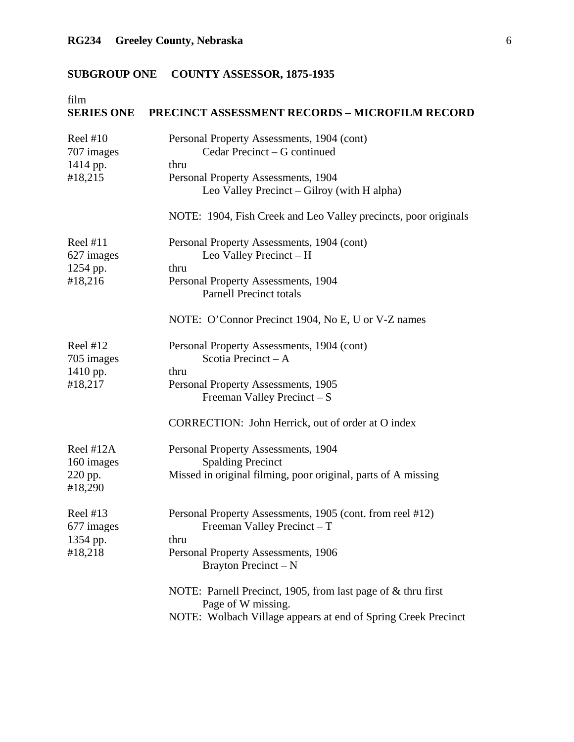# film

| Reel $#10$<br>707 images<br>1414 pp.<br>#18,215 | Personal Property Assessments, 1904 (cont)<br>Cedar Precinct - G continued<br>thru<br>Personal Property Assessments, 1904<br>Leo Valley Precinct – Gilroy (with H alpha)<br>NOTE: 1904, Fish Creek and Leo Valley precincts, poor originals                                                                            |
|-------------------------------------------------|------------------------------------------------------------------------------------------------------------------------------------------------------------------------------------------------------------------------------------------------------------------------------------------------------------------------|
| Reel $#11$<br>627 images<br>1254 pp.<br>#18,216 | Personal Property Assessments, 1904 (cont)<br>Leo Valley Precinct - H<br>thru<br>Personal Property Assessments, 1904<br><b>Parnell Precinct totals</b><br>NOTE: O'Connor Precinct 1904, No E, U or V-Z names                                                                                                           |
| Reel $#12$<br>705 images<br>1410 pp.<br>#18,217 | Personal Property Assessments, 1904 (cont)<br>Scotia Precinct $- A$<br>thru<br>Personal Property Assessments, 1905<br>Freeman Valley Precinct $-S$<br>CORRECTION: John Herrick, out of order at O index                                                                                                                |
| Reel #12A<br>160 images<br>220 pp.<br>#18,290   | Personal Property Assessments, 1904<br><b>Spalding Precinct</b><br>Missed in original filming, poor original, parts of A missing                                                                                                                                                                                       |
| Reel $#13$<br>677 images<br>1354 pp.<br>#18,218 | Personal Property Assessments, 1905 (cont. from reel #12)<br>Freeman Valley Precinct – T<br>thru<br>Personal Property Assessments, 1906<br>Brayton Precinct - N<br>NOTE: Parnell Precinct, 1905, from last page of & thru first<br>Page of W missing.<br>NOTE: Wolbach Village appears at end of Spring Creek Precinct |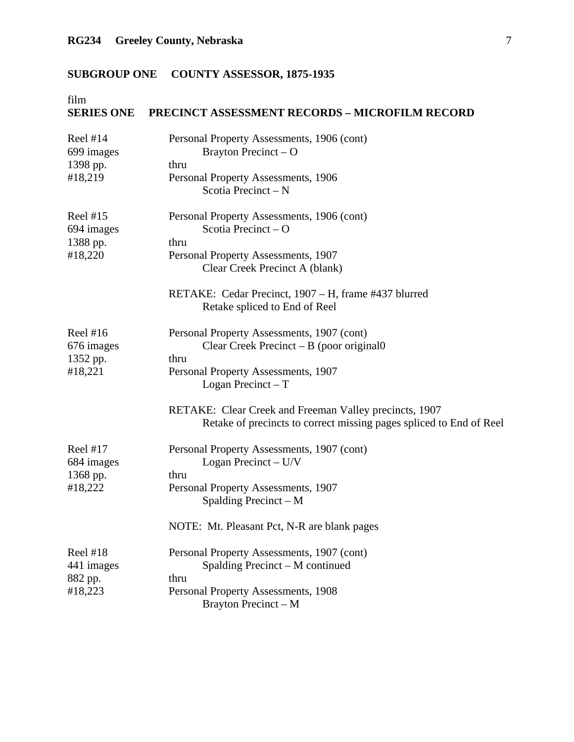### film

| Reel #14        | Personal Property Assessments, 1906 (cont)                                                                                    |
|-----------------|-------------------------------------------------------------------------------------------------------------------------------|
| 699 images      | Brayton Precinct $-$ O                                                                                                        |
| 1398 pp.        | thru                                                                                                                          |
| #18,219         | Personal Property Assessments, 1906                                                                                           |
|                 | Scotia Precinct - N                                                                                                           |
| Reel $#15$      | Personal Property Assessments, 1906 (cont)                                                                                    |
| 694 images      | Scotia Precinct $-$ O                                                                                                         |
| 1388 pp.        | thru                                                                                                                          |
| #18,220         | Personal Property Assessments, 1907<br>Clear Creek Precinct A (blank)                                                         |
|                 |                                                                                                                               |
|                 | RETAKE: Cedar Precinct, 1907 – H, frame #437 blurred<br>Retake spliced to End of Reel                                         |
| Reel $#16$      | Personal Property Assessments, 1907 (cont)                                                                                    |
| 676 images      | Clear Creek Precinct – B (poor original $0$                                                                                   |
| 1352 pp.        | thru                                                                                                                          |
| #18,221         | Personal Property Assessments, 1907<br>Logan Precinct $-T$                                                                    |
|                 | RETAKE: Clear Creek and Freeman Valley precincts, 1907<br>Retake of precincts to correct missing pages spliced to End of Reel |
| <b>Reel #17</b> | Personal Property Assessments, 1907 (cont)                                                                                    |
| 684 images      | Logan Precinct $- U/V$                                                                                                        |
| 1368 pp.        | thru                                                                                                                          |
| #18,222         | Personal Property Assessments, 1907                                                                                           |
|                 | Spalding Precinct $- M$                                                                                                       |
|                 | NOTE: Mt. Pleasant Pct, N-R are blank pages                                                                                   |
| Reel #18        | Personal Property Assessments, 1907 (cont)                                                                                    |
| 441 images      | Spalding Precinct – M continued                                                                                               |
| 882 pp.         | thru                                                                                                                          |
| #18,223         | Personal Property Assessments, 1908                                                                                           |
|                 | Brayton Precinct – M                                                                                                          |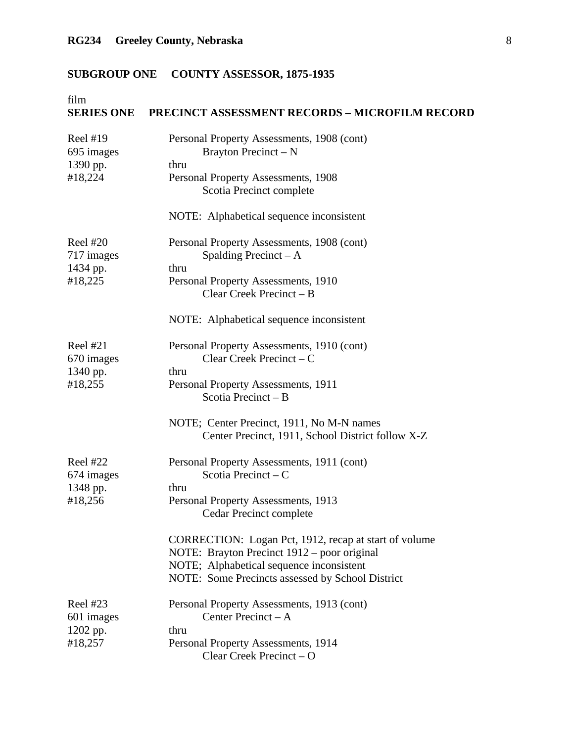# film

| Reel $#19$<br>695 images<br>1390 pp.<br>#18,224 | Personal Property Assessments, 1908 (cont)<br>Brayton Precinct – N<br>thru<br>Personal Property Assessments, 1908<br>Scotia Precinct complete                                                        |
|-------------------------------------------------|------------------------------------------------------------------------------------------------------------------------------------------------------------------------------------------------------|
|                                                 | NOTE: Alphabetical sequence inconsistent                                                                                                                                                             |
| Reel #20<br>717 images<br>1434 pp.<br>#18,225   | Personal Property Assessments, 1908 (cont)<br>Spalding Precinct $- A$<br>thru<br>Personal Property Assessments, 1910                                                                                 |
|                                                 | Clear Creek Precinct – B                                                                                                                                                                             |
|                                                 | NOTE: Alphabetical sequence inconsistent                                                                                                                                                             |
| Reel $#21$<br>670 images<br>1340 pp.            | Personal Property Assessments, 1910 (cont)<br>Clear Creek Precinct – $C$<br>thru                                                                                                                     |
| #18,255                                         | Personal Property Assessments, 1911<br>Scotia Precinct $- B$                                                                                                                                         |
|                                                 | NOTE; Center Precinct, 1911, No M-N names<br>Center Precinct, 1911, School District follow X-Z                                                                                                       |
| Reel #22<br>674 images<br>1348 pp.              | Personal Property Assessments, 1911 (cont)<br>Scotia Precinct – $C$<br>thru                                                                                                                          |
| #18,256                                         | Personal Property Assessments, 1913<br>Cedar Precinct complete                                                                                                                                       |
|                                                 | CORRECTION: Logan Pct, 1912, recap at start of volume<br>NOTE: Brayton Precinct 1912 – poor original<br>NOTE; Alphabetical sequence inconsistent<br>NOTE: Some Precincts assessed by School District |
| Reel $#23$<br>601 images                        | Personal Property Assessments, 1913 (cont)<br>Center Precinct $- A$                                                                                                                                  |
| 1202 pp.<br>#18,257                             | thru<br>Personal Property Assessments, 1914<br>Clear Creek Precinct $-$ O                                                                                                                            |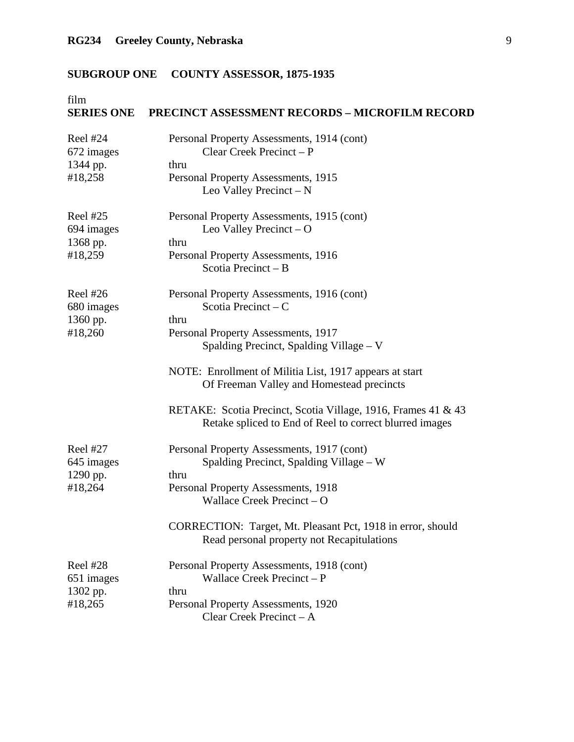### film

| Reel #24<br>672 images<br>1344 pp.                   | Personal Property Assessments, 1914 (cont)<br>Clear Creek Precinct - P<br>thru                                                                                                                                                                                                                                                                                                                  |
|------------------------------------------------------|-------------------------------------------------------------------------------------------------------------------------------------------------------------------------------------------------------------------------------------------------------------------------------------------------------------------------------------------------------------------------------------------------|
| #18,258                                              | Personal Property Assessments, 1915<br>Leo Valley Precinct – N                                                                                                                                                                                                                                                                                                                                  |
| Reel #25<br>694 images<br>1368 pp.<br>#18,259        | Personal Property Assessments, 1915 (cont)<br>Leo Valley Precinct $-$ O<br>thru<br>Personal Property Assessments, 1916<br>Scotia Precinct $- B$                                                                                                                                                                                                                                                 |
| Reel #26<br>680 images<br>1360 pp.<br>#18,260        | Personal Property Assessments, 1916 (cont)<br>Scotia Precinct - C<br>thru<br>Personal Property Assessments, 1917<br>Spalding Precinct, Spalding Village – V<br>NOTE: Enrollment of Militia List, 1917 appears at start<br>Of Freeman Valley and Homestead precincts<br>RETAKE: Scotia Precinct, Scotia Village, 1916, Frames 41 & 43<br>Retake spliced to End of Reel to correct blurred images |
| <b>Reel #27</b><br>645 images<br>1290 pp.<br>#18,264 | Personal Property Assessments, 1917 (cont)<br>Spalding Precinct, Spalding Village – W<br>thru<br>Personal Property Assessments, 1918<br>Wallace Creek Precinct - O<br>CORRECTION: Target, Mt. Pleasant Pct, 1918 in error, should<br>Read personal property not Recapitulations                                                                                                                 |
| Reel #28<br>651 images<br>1302 pp.<br>#18,265        | Personal Property Assessments, 1918 (cont)<br>Wallace Creek Precinct - P<br>thru<br>Personal Property Assessments, 1920<br>Clear Creek Precinct - A                                                                                                                                                                                                                                             |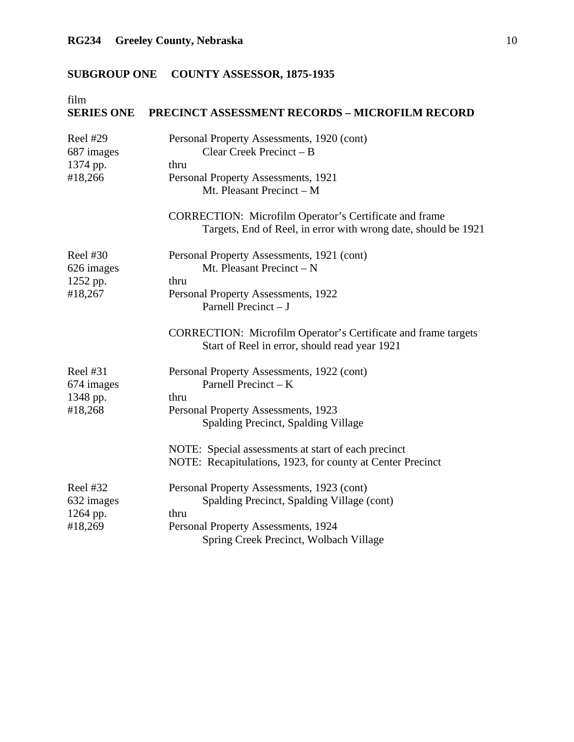# film

| <b>Reel #29</b><br>687 images<br>1374 pp.<br>#18,266 | Personal Property Assessments, 1920 (cont)<br>Clear Creek Precinct - B<br>thru<br>Personal Property Assessments, 1921<br>Mt. Pleasant Precinct - M<br><b>CORRECTION:</b> Microfilm Operator's Certificate and frame<br>Targets, End of Reel, in error with wrong date, should be 1921 |
|------------------------------------------------------|---------------------------------------------------------------------------------------------------------------------------------------------------------------------------------------------------------------------------------------------------------------------------------------|
| <b>Reel #30</b><br>626 images<br>1252 pp.<br>#18,267 | Personal Property Assessments, 1921 (cont)<br>Mt. Pleasant Precinct - N<br>thru<br>Personal Property Assessments, 1922<br>Parnell Precinct - J                                                                                                                                        |
|                                                      | <b>CORRECTION:</b> Microfilm Operator's Certificate and frame targets<br>Start of Reel in error, should read year 1921                                                                                                                                                                |
| <b>Reel #31</b><br>674 images<br>1348 pp.<br>#18,268 | Personal Property Assessments, 1922 (cont)<br>Parnell Precinct $-K$<br>thru<br>Personal Property Assessments, 1923<br>Spalding Precinct, Spalding Village                                                                                                                             |
|                                                      | NOTE: Special assessments at start of each precinct<br>NOTE: Recapitulations, 1923, for county at Center Precinct                                                                                                                                                                     |
| Reel #32<br>632 images<br>1264 pp.<br>#18,269        | Personal Property Assessments, 1923 (cont)<br>Spalding Precinct, Spalding Village (cont)<br>thru<br>Personal Property Assessments, 1924<br>Spring Creek Precinct, Wolbach Village                                                                                                     |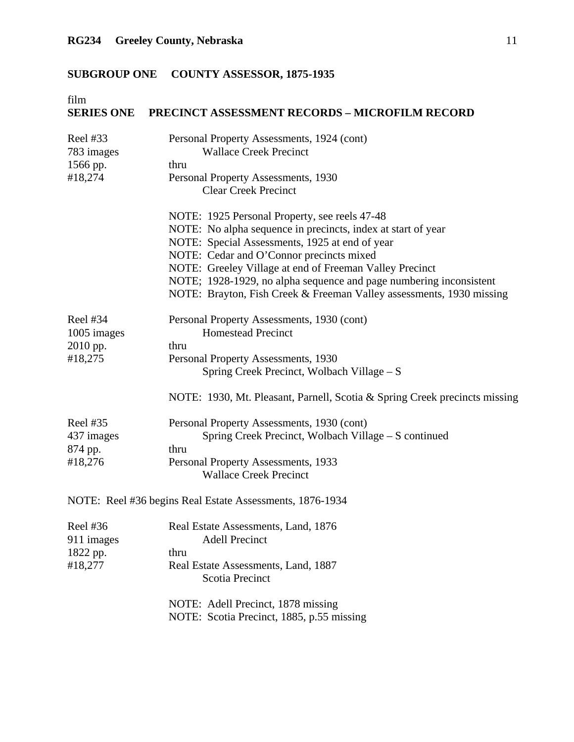film

| <b>Reel #33</b>     | Personal Property Assessments, 1924 (cont)                                 |
|---------------------|----------------------------------------------------------------------------|
| 783 images          | <b>Wallace Creek Precinct</b>                                              |
| 1566 pp.<br>#18,274 | thru<br>Personal Property Assessments, 1930                                |
|                     | <b>Clear Creek Precinct</b>                                                |
|                     | NOTE: 1925 Personal Property, see reels 47-48                              |
|                     | NOTE: No alpha sequence in precincts, index at start of year               |
|                     | NOTE: Special Assessments, 1925 at end of year                             |
|                     | NOTE: Cedar and O'Connor precincts mixed                                   |
|                     | NOTE: Greeley Village at end of Freeman Valley Precinct                    |
|                     | NOTE; 1928-1929, no alpha sequence and page numbering inconsistent         |
|                     | NOTE: Brayton, Fish Creek & Freeman Valley assessments, 1930 missing       |
| Reel #34            | Personal Property Assessments, 1930 (cont)                                 |
| 1005 images         | <b>Homestead Precinct</b>                                                  |
| 2010 pp.            | thru                                                                       |
| #18,275             | Personal Property Assessments, 1930                                        |
|                     | Spring Creek Precinct, Wolbach Village - S                                 |
|                     | NOTE: 1930, Mt. Pleasant, Parnell, Scotia & Spring Creek precincts missing |
| <b>Reel #35</b>     | Personal Property Assessments, 1930 (cont)                                 |
| 437 images          | Spring Creek Precinct, Wolbach Village - S continued                       |
| 874 pp.             | thru                                                                       |
| #18,276             | Personal Property Assessments, 1933<br><b>Wallace Creek Precinct</b>       |
|                     |                                                                            |
|                     | NOTE: Reel #36 begins Real Estate Assessments, 1876-1934                   |
| Reel #36            | Real Estate Assessments, Land, 1876                                        |
| 911 images          | <b>Adell Precinct</b>                                                      |
| 1822 pp.            | thru                                                                       |
| #18,277             | Real Estate Assessments, Land, 1887<br><b>Scotia Precinct</b>              |
|                     | NOTE: Adell Precinct, 1878 missing                                         |
|                     | NOTE: Scotia Precinct, 1885, p.55 missing                                  |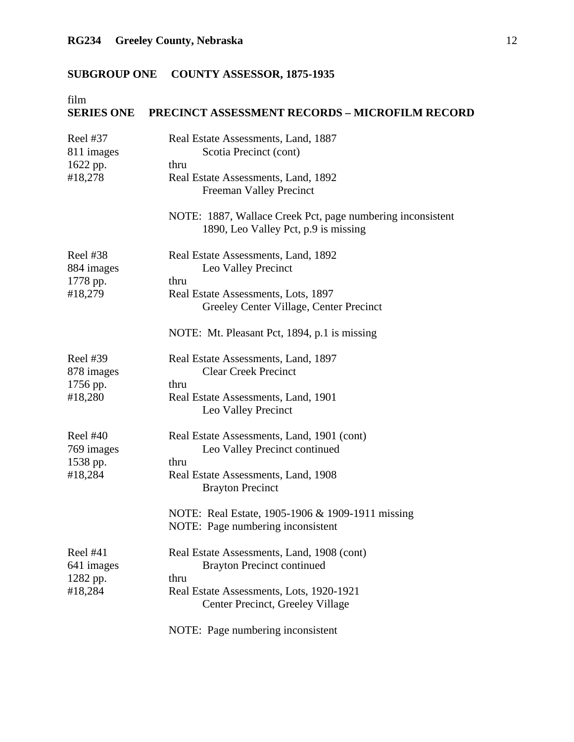# film

| Reel #37<br>811 images<br>1622 pp.<br>#18,278        | Real Estate Assessments, Land, 1887<br>Scotia Precinct (cont)<br>thru<br>Real Estate Assessments, Land, 1892<br>Freeman Valley Precinct<br>NOTE: 1887, Wallace Creek Pct, page numbering inconsistent<br>1890, Leo Valley Pct, p.9 is missing  |
|------------------------------------------------------|------------------------------------------------------------------------------------------------------------------------------------------------------------------------------------------------------------------------------------------------|
| <b>Reel #38</b><br>884 images<br>1778 pp.<br>#18,279 | Real Estate Assessments, Land, 1892<br>Leo Valley Precinct<br>thru<br>Real Estate Assessments, Lots, 1897<br>Greeley Center Village, Center Precinct<br>NOTE: Mt. Pleasant Pct, 1894, p.1 is missing                                           |
| Reel #39<br>878 images<br>1756 pp.<br>#18,280        | Real Estate Assessments, Land, 1897<br><b>Clear Creek Precinct</b><br>thru<br>Real Estate Assessments, Land, 1901<br>Leo Valley Precinct                                                                                                       |
| Reel $#40$<br>769 images<br>1538 pp.<br>#18,284      | Real Estate Assessments, Land, 1901 (cont)<br>Leo Valley Precinct continued<br>thru<br>Real Estate Assessments, Land, 1908<br><b>Brayton Precinct</b><br>NOTE: Real Estate, 1905-1906 & 1909-1911 missing<br>NOTE: Page numbering inconsistent |
| Reel #41<br>641 images<br>1282 pp.<br>#18,284        | Real Estate Assessments, Land, 1908 (cont)<br><b>Brayton Precinct continued</b><br>thru<br>Real Estate Assessments, Lots, 1920-1921<br>Center Precinct, Greeley Village<br>NOTE: Page numbering inconsistent                                   |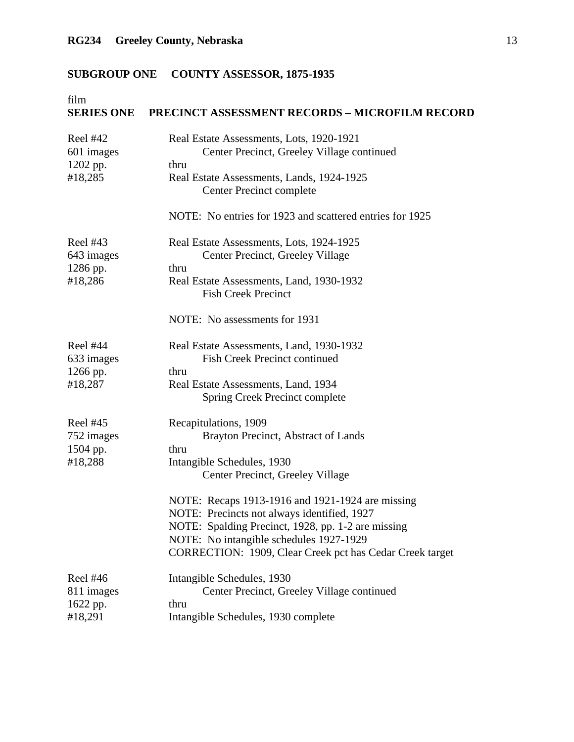# film

| Reel #42<br>601 images<br>1202 pp.<br>#18,285        | Real Estate Assessments, Lots, 1920-1921<br>Center Precinct, Greeley Village continued<br>thru<br>Real Estate Assessments, Lands, 1924-1925<br>Center Precinct complete<br>NOTE: No entries for 1923 and scattered entries for 1925                                                                                                                                                                    |
|------------------------------------------------------|--------------------------------------------------------------------------------------------------------------------------------------------------------------------------------------------------------------------------------------------------------------------------------------------------------------------------------------------------------------------------------------------------------|
| Reel #43<br>643 images<br>1286 pp.<br>#18,286        | Real Estate Assessments, Lots, 1924-1925<br>Center Precinct, Greeley Village<br>thru<br>Real Estate Assessments, Land, 1930-1932<br><b>Fish Creek Precinct</b><br>NOTE: No assessments for 1931                                                                                                                                                                                                        |
| <b>Reel #44</b><br>633 images<br>1266 pp.<br>#18,287 | Real Estate Assessments, Land, 1930-1932<br><b>Fish Creek Precinct continued</b><br>thru<br>Real Estate Assessments, Land, 1934<br><b>Spring Creek Precinct complete</b>                                                                                                                                                                                                                               |
| <b>Reel #45</b><br>752 images<br>1504 pp.<br>#18,288 | Recapitulations, 1909<br>Brayton Precinct, Abstract of Lands<br>thru<br>Intangible Schedules, 1930<br>Center Precinct, Greeley Village<br>NOTE: Recaps 1913-1916 and 1921-1924 are missing<br>NOTE: Precincts not always identified, 1927<br>NOTE: Spalding Precinct, 1928, pp. 1-2 are missing<br>NOTE: No intangible schedules 1927-1929<br>CORRECTION: 1909, Clear Creek pct has Cedar Creek target |
| Reel #46<br>811 images<br>1622 pp.<br>#18,291        | Intangible Schedules, 1930<br>Center Precinct, Greeley Village continued<br>thru<br>Intangible Schedules, 1930 complete                                                                                                                                                                                                                                                                                |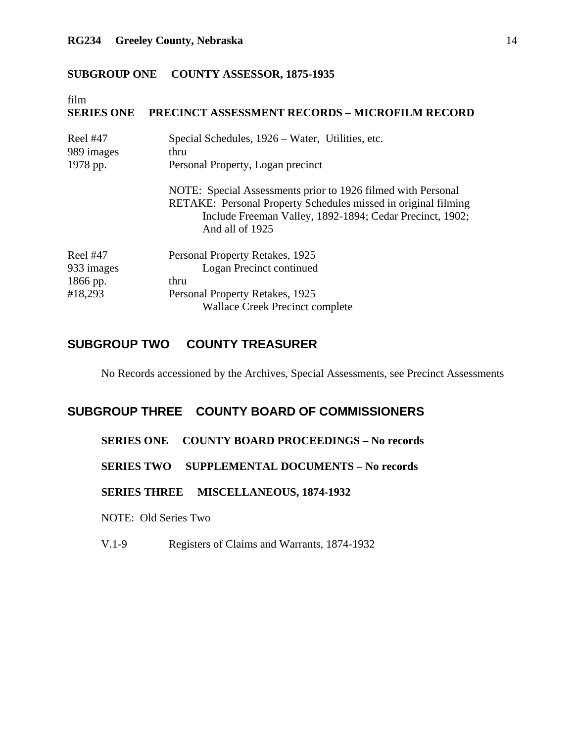film

#### **SERIES ONE PRECINCT ASSESSMENT RECORDS – MICROFILM RECORD**

| Reel #47<br>989 images<br>1978 pp. | Special Schedules, 1926 – Water, Utilities, etc.<br>thru<br>Personal Property, Logan precinct                                                                                                                 |  |
|------------------------------------|---------------------------------------------------------------------------------------------------------------------------------------------------------------------------------------------------------------|--|
|                                    | NOTE: Special Assessments prior to 1926 filmed with Personal<br>RETAKE: Personal Property Schedules missed in original filming<br>Include Freeman Valley, 1892-1894; Cedar Precinct, 1902;<br>And all of 1925 |  |
| Reel #47                           | Personal Property Retakes, 1925                                                                                                                                                                               |  |
| 933 images                         | Logan Precinct continued                                                                                                                                                                                      |  |
| 1866 pp.                           | thru                                                                                                                                                                                                          |  |
| #18,293                            | Personal Property Retakes, 1925                                                                                                                                                                               |  |
|                                    | <b>Wallace Creek Precinct complete</b>                                                                                                                                                                        |  |

### **SUBGROUP TWO COUNTY TREASURER**

No Records accessioned by the Archives, Special Assessments, see Precinct Assessments

# **SUBGROUP THREE COUNTY BOARD OF COMMISSIONERS**

### **SERIES ONE COUNTY BOARD PROCEEDINGS – No records**

 **SERIES TWO SUPPLEMENTAL DOCUMENTS – No records** 

#### **SERIES THREE MISCELLANEOUS, 1874-1932**

NOTE: Old Series Two

V.1-9 Registers of Claims and Warrants, 1874-1932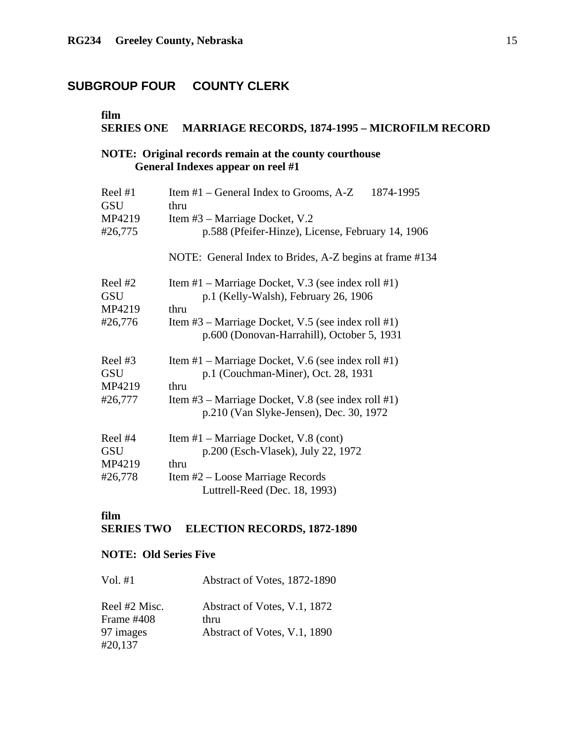# **SUBGROUP FOUR COUNTY CLERK**

### **film**

#### **SERIES ONE MARRIAGE RECORDS, 1874-1995 – MICROFILM RECORD**

### **NOTE: Original records remain at the county courthouse General Indexes appear on reel #1**

| Reel #1<br>GSU | Item $#1$ – General Index to Grooms, A-Z<br>1874-1995<br>thru                                    |
|----------------|--------------------------------------------------------------------------------------------------|
| MP4219         | Item #3 – Marriage Docket, V.2                                                                   |
| #26,775        | p.588 (Pfeifer-Hinze), License, February 14, 1906                                                |
|                | NOTE: General Index to Brides, A-Z begins at frame #134                                          |
| Reel #2        | Item #1 – Marriage Docket, V.3 (see index roll #1)                                               |
| <b>GSU</b>     | p.1 (Kelly-Walsh), February 26, 1906                                                             |
| MP4219         | thru                                                                                             |
| #26,776        | Item #3 – Marriage Docket, V.5 (see index roll #1)<br>p.600 (Donovan-Harrahill), October 5, 1931 |
| Reel #3        | Item #1 – Marriage Docket, V.6 (see index roll #1)                                               |
| <b>GSU</b>     | p.1 (Couchman-Miner), Oct. 28, 1931                                                              |
| MP4219         | thru                                                                                             |
| #26,777        | Item #3 – Marriage Docket, V.8 (see index roll #1)<br>p.210 (Van Slyke-Jensen), Dec. 30, 1972    |
| Reel #4        | Item #1 – Marriage Docket, V.8 (cont)                                                            |
| GSU            | p.200 (Esch-Vlasek), July 22, 1972                                                               |
| MP4219         | thru                                                                                             |
| #26,778        | Item #2 – Loose Marriage Records<br>Luttrell-Reed (Dec. 18, 1993)                                |

#### **film SERIES TWO ELECTION RECORDS, 1872-1890**

#### **NOTE: Old Series Five**

| Vol. $#1$                   | Abstract of Votes, 1872-1890         |
|-----------------------------|--------------------------------------|
| Reel #2 Misc.<br>Frame #408 | Abstract of Votes, V.1, 1872<br>thru |
| 97 images                   | Abstract of Votes, V.1, 1890         |
| #20,137                     |                                      |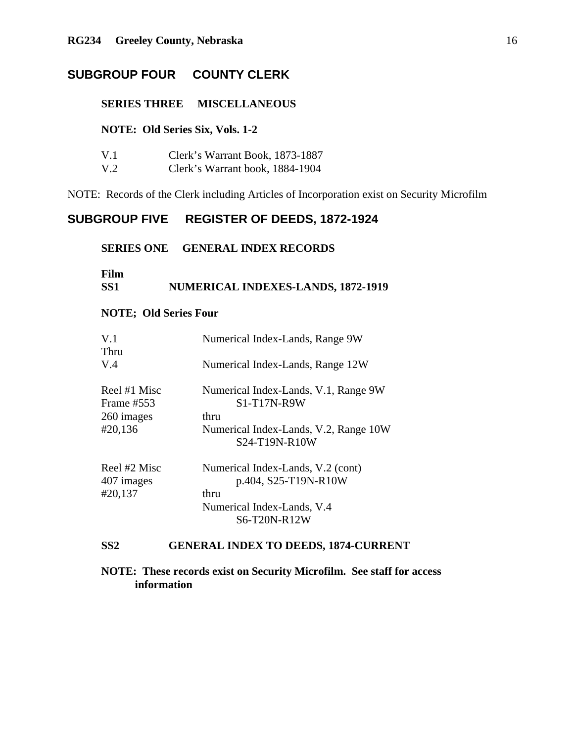# **SUBGROUP FOUR COUNTY CLERK**

### **SERIES THREE MISCELLANEOUS**

#### **NOTE: Old Series Six, Vols. 1-2**

| V <sub>1</sub> | Clerk's Warrant Book, 1873-1887 |
|----------------|---------------------------------|
| V.2            | Clerk's Warrant book, 1884-1904 |

NOTE: Records of the Clerk including Articles of Incorporation exist on Security Microfilm

### **SUBGROUP FIVE REGISTER OF DEEDS, 1872-1924**

#### **SERIES ONE GENERAL INDEX RECORDS**

#### **Film SS1 NUMERICAL INDEXES-LANDS, 1872-1919**

#### **NOTE; Old Series Four**

| V.1          | Numerical Index-Lands, Range 9W       |
|--------------|---------------------------------------|
| Thru<br>V.4  | Numerical Index-Lands, Range 12W      |
|              |                                       |
| Reel #1 Misc | Numerical Index-Lands, V.1, Range 9W  |
| Frame $#553$ | $S1-T17N-R9W$                         |
| 260 images   | thru                                  |
| #20,136      | Numerical Index-Lands, V.2, Range 10W |
|              | S24-T19N-R10W                         |
| Reel #2 Misc | Numerical Index-Lands, V.2 (cont)     |
| 407 images   | p.404, S25-T19N-R10W                  |
| #20,137      | thru                                  |
|              | Numerical Index-Lands, V.4            |
|              | S6-T20N-R12W                          |
|              |                                       |

### **SS2 GENERAL INDEX TO DEEDS, 1874-CURRENT**

 **NOTE: These records exist on Security Microfilm. See staff for access information**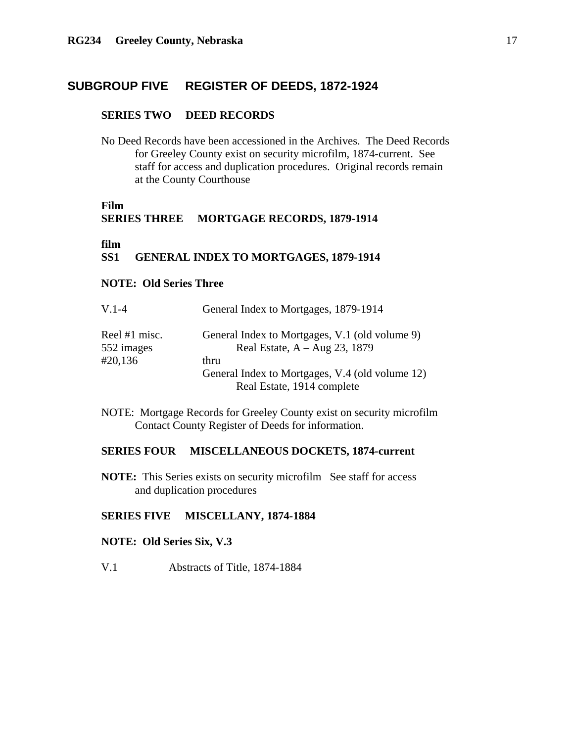### **SUBGROUP FIVE REGISTER OF DEEDS, 1872-1924**

#### **SERIES TWO DEED RECORDS**

 No Deed Records have been accessioned in the Archives. The Deed Records for Greeley County exist on security microfilm, 1874-current. See staff for access and duplication procedures. Original records remain at the County Courthouse

#### **Film SERIES THREE MORTGAGE RECORDS, 1879-1914**

#### **film**

#### **SS1 GENERAL INDEX TO MORTGAGES, 1879-1914**

#### **NOTE: Old Series Three**

| $V.1-4$                     | General Index to Mortgages, 1879-1914                                             |
|-----------------------------|-----------------------------------------------------------------------------------|
| Reel #1 misc.<br>552 images | General Index to Mortgages, V.1 (old volume 9)<br>Real Estate, $A - Aug$ 23, 1879 |
| #20,136                     | thru                                                                              |
|                             | General Index to Mortgages, V.4 (old volume 12)                                   |
|                             | Real Estate, 1914 complete                                                        |
|                             |                                                                                   |

 NOTE: Mortgage Records for Greeley County exist on security microfilm Contact County Register of Deeds for information.

#### **SERIES FOUR MISCELLANEOUS DOCKETS, 1874-current**

**NOTE:** This Series exists on security microfilm See staff for access and duplication procedures

#### **SERIES FIVE MISCELLANY, 1874-1884**

#### **NOTE: Old Series Six, V.3**

V.1 Abstracts of Title, 1874-1884